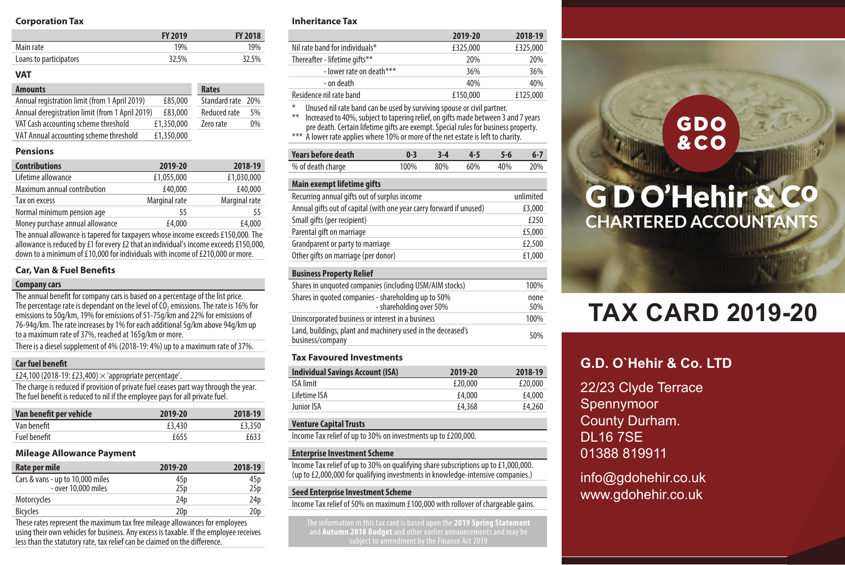### **Corporation Tax**

|                        | <b>FY 2019</b> | <b>FY 2018</b> |
|------------------------|----------------|----------------|
| Main rate              | 19%            | 19%            |
| Loans to participators | 32.5%          | 32.5%          |

### **VAT**

| <b>Amounts</b>                                  |            | Rates             |    |
|-------------------------------------------------|------------|-------------------|----|
| Annual registration limit (from 1 April 2019)   | £85,000    | Standard rate 20% |    |
| Annual deregistration limit (from 1 April 2019) | £83,000    | Reduced rate      | 5% |
| VAT Cash accounting scheme threshold            | £1.350.000 | Zero rate         | 0% |
| VAT Annual accounting scheme threshold          | £1.350.000 |                   |    |

### **Pensions**

| <b>Contributions</b>            | 2019-20       | 2018-19       |
|---------------------------------|---------------|---------------|
| Lifetime allowance              | £1.055.000    | £1.030.000    |
| Maximum annual contribution     | £40,000       | £40,000       |
| Tax on excess                   | Marginal rate | Marginal rate |
| Normal minimum pension age      | 55            | 55            |
| Money purchase annual allowance | £4,000        | £4,000        |

The annual allowance is tapered for taxpayers whose income exceeds £150,000. The allowance is reduced by £1 for every £2 that an individual's income exceeds £150,000, down to a minimum of £10,000 for individuals with income of £210,000 or more.

### **Car, Van & Fuel Benefits**

### **Company cars**

The annual benefit for company cars is based on a percentage of the list price. The percentage rate is dependant on the level of CO<sub>2</sub> emissions. The rate is 16% for emissions to 50g/km, 19% for emissions of 51-75g/km and 22% for emissions of 76-94g/km. The rate increases by 1% for each additional 5g/km above 94g/km up to a maximum rate of 37%, reached at 165g/km or more.

There is a diesel supplement of 4% (2018-19: 4%) up to a maximum rate of 37%.

### **Car fuel benefit**

£24,100 (2018-19: £23,400)  $\times$  'appropriate percentage'.

The charge is reduced if provision of private fuel ceases part way through the year. The fuel benefit is reduced to nil if the employee pays for all private fuel.

| Van benefit per vehicle | 2019-20 | 2018-19 |
|-------------------------|---------|---------|
| Van benefit             | £3.430  | £3.350  |
| Fuel benefit            | f655    | £633    |

### **Mileage Allowance Payment**

| Rate per mile                                           | 2019-20                | 2018-19     |
|---------------------------------------------------------|------------------------|-------------|
| Cars & vans - up to 10,000 miles<br>- over 10,000 miles | 45p<br>25 <sub>p</sub> | 45p<br>25 p |
| Motorcycles                                             | 24 <sub>D</sub>        | 24p         |
| <b>Bicycles</b>                                         | 20 <sub>D</sub>        | 20¤         |

These rates represent the maximum tax free mileage allowances for employees using their own vehicles for business. Any excess is taxable. If the employee receives less than the statutory rate, tax relief can be claimed on the difference.

### **Inheritance Tax**

|                                                                               | 2019-20  | 2018-19  |
|-------------------------------------------------------------------------------|----------|----------|
| Nil rate band for individuals*                                                | £325,000 | £325,000 |
| Thereafter - lifetime gifts**                                                 | 20%      | 20%      |
| - lower rate on death***                                                      | 36%      | 36%      |
| - on death                                                                    | 40%      | 40%      |
| Residence nil rate band                                                       | £150,000 | £125,000 |
| $*$<br>Unused nil rate band can be used by surviving spouse or civil partner. |          |          |

\* Unused nil rate band can be used by surviving spouse or civil partner. \*\* Increased to 40%, subject to tapering relief, on gifts made between 3 and 7 years

pre death. Certain lifetime gifts are exempt. Special rules for business property.

\*\*\* A lower rate applies where 10% or more of the net estate is left to charity.

| Years before death | $0-3$ $3-4$ $4-5$ $5-6$ |  | $6 - 7$ |
|--------------------|-------------------------|--|---------|
| % of death charge  | 100% 80% 60% 40% 20%    |  |         |

### **Main exempt lifetime gifts**

| unlimited |
|-----------|
| £3,000    |
| £250      |
| £5,000    |
| £2.500    |
| £1,000    |
|           |

### **Business Property Relief**

| Shares in unquoted companies (including USM/AIM stocks)                         | 100%        |
|---------------------------------------------------------------------------------|-------------|
| Shares in quoted companies - shareholding up to 50%<br>- shareholding over 50%  | none<br>50% |
| Unincorporated business or interest in a business                               | 100%        |
| Land, buildings, plant and machinery used in the deceased's<br>business/company | 50%         |
|                                                                                 |             |

### **Tax Favoured Investments**

| <b>Individual Savings Account (ISA)</b> | 2019-20 | 2018-19 |
|-----------------------------------------|---------|---------|
| <b>ISA</b> limit                        | £20,000 | £20,000 |
| Lifetime ISA                            | £4.000  | £4.000  |
| Junior ISA                              | £4,368  | £4.260  |

### **Venture Capital Trusts**

Income Tax relief of up to 30% on investments up to £200,000.

### **Enterprise Investment Scheme**

Income Tax relief of up to 30% on qualifying share subscriptions up to £1,000,000. (up to £2,000,000 for qualifying investments in knowledge-intensive companies.)

### **Seed Enterprise Investment Scheme**

Income Tax relief of 50% on maximum £100,000 with rollover of chargeable gains.

The information in this tax card is based upon the **2019 Spring Statement** and **Autumn 2018 Budget** and other earlier announcements and may be

## **GDO &CO**

## GD O'Hehir & Co **CHARTERED ACCOUNTANTS**

# **TAX CARD 2019-20**

### **G.D. O`Hehir & Co. LTD**

22/23 Clyde Terrace Spennymoor County Durham. DL16 7SE 01388 819911

info@gdohehir.co.uk www.gdohehir.co.uk